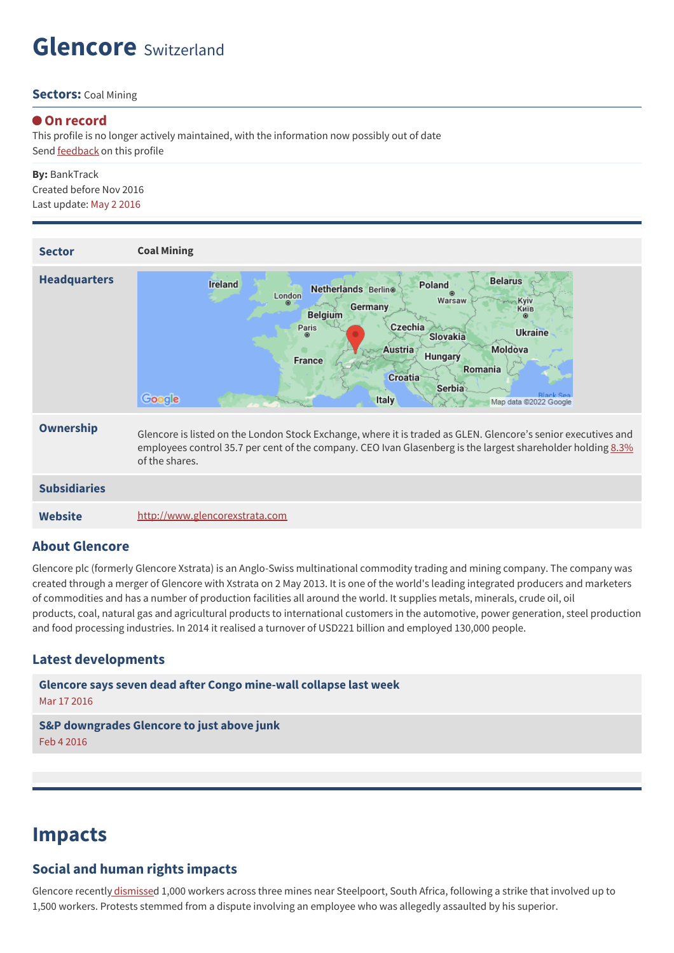## **Glencore** Switzerland

#### **Sectors:** Coal Mining

#### **On record**

This profile is no longer actively maintained, with the information now possibly out of date Send **[feedback](https://www.banktrack.org/feedback/companyprofile/glencore_xstrata)** on this profile

### **By:** BankTrack Created before Nov 2016 Last update: May 2 2016

| <b>Sector</b>       | <b>Coal Mining</b>                                                                                                                                                                                                                                                                                                                                        |
|---------------------|-----------------------------------------------------------------------------------------------------------------------------------------------------------------------------------------------------------------------------------------------------------------------------------------------------------------------------------------------------------|
| <b>Headquarters</b> | <b>Belarus</b><br><b>Ireland</b><br>Poland<br>Netherlands Berlino<br>⊛<br>London<br>Warsaw<br>Kyiv<br>Germany<br>Київ<br><b>Belgium</b><br>Czechia<br>Paris<br><b>Ukraine</b><br><b>Slovakia</b><br>Moldova<br>Austria<br>Hungary<br><b>France</b><br>Romania<br><b>Croatia</b><br>Serbia<br>Rlack Sea<br>Google<br><b>Italy</b><br>Map data @2022 Google |
| Ownership           | Glencore is listed on the London Stock Exchange, where it is traded as GLEN. Glencore's senior executives and<br>employees control 35.7 per cent of the company. CEO Ivan Glasenberg is the largest shareholder holding 8.3%<br>of the shares.                                                                                                            |
| <b>Subsidiaries</b> |                                                                                                                                                                                                                                                                                                                                                           |
| <b>Website</b>      | http://www.glencorexstrata.com                                                                                                                                                                                                                                                                                                                            |

#### **About Glencore**

Glencore plc (formerly Glencore Xstrata) is an Anglo-Swiss multinational commodity trading and mining company. The company was created through a merger of Glencore with Xstrata on 2 May 2013. It is one of the world's leading integrated producers and marketers of commodities and has a number of production facilities all around the world. It supplies metals, minerals, crude oil, oil products, coal, natural gas and agricultural products to international customers in the automotive, power generation, steel production and food processing industries. In 2014 it realised a turnover of USD221 billion and employed 130,000 people.

#### **Latest developments**

**Glencore says seven dead after Congo [mine-wall](javascript:void(0)) collapse last week** Mar 17 2016

#### **S&P [downgrades](javascript:void(0)) Glencore to just above junk** Feb 4 2016

## **Impacts**

#### **Social and human rights impacts**

Glencore recently [dismisse](https://www.banktrack.org/company/download/dirty_profits_ii/dirty_profits_ii.pdf)d 1,000 workers across three mines near Steelpoort, South Africa, following a strike that involved up to 1,500 workers. Protests stemmed from a dispute involving an employee who was allegedly assaulted by his superior.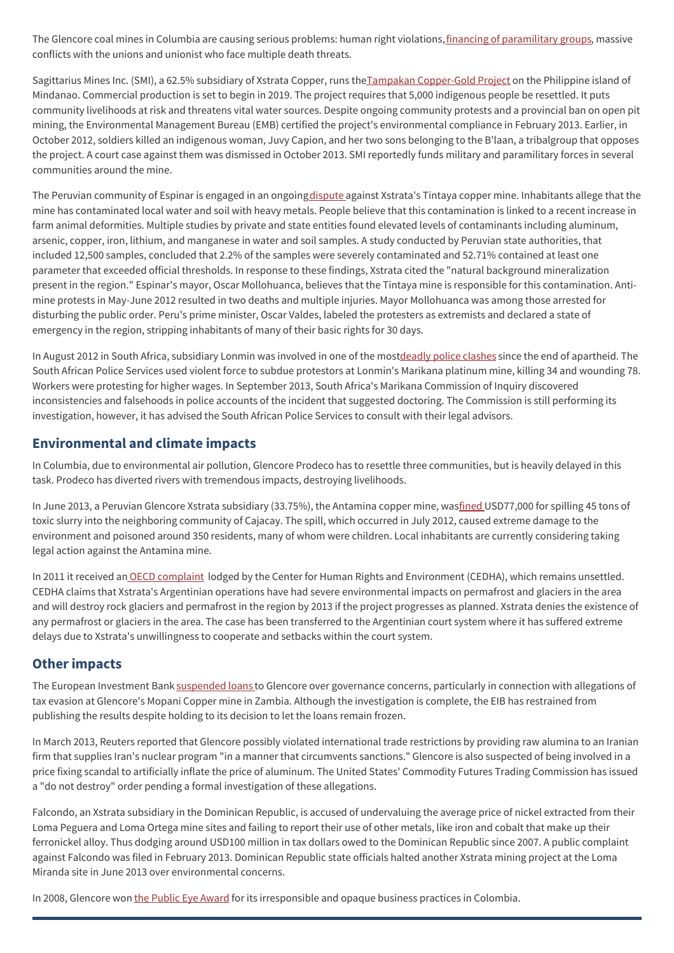The Glencore coal mines in Columbia are causing serious problems: human right violations, financing of [paramilitary](http://www.paxforpeace.nl/our-work/programmes/mining-and-conflict-in-colombia) groups, massive conflicts with the unions and unionist who face multiple death threats.

Sagittarius Mines Inc. (SMI), a 62.5% subsidiary of Xstrata Copper, runs theTampakan [Copper-Gold](https://www.banktrack.org/company/download/dirty_profits_ii/dirty_profits_ii.pdf) Project on the Philippine island of Mindanao. Commercial production is set to begin in 2019. The project requires that 5,000 indigenous people be resettled. It puts community livelihoods at risk and threatens vital water sources. Despite ongoing community protests and a provincial ban on open pit mining, the Environmental Management Bureau (EMB) certified the project's environmental compliance in February 2013. Earlier, in October 2012, soldiers killed an indigenous woman, Juvy Capion, and her two sons belonging to the B'laan, a tribalgroup that opposes the project. A court case against them was dismissed in October 2013. SMI reportedly funds military and paramilitary forces in several communities around the mine.

The Peruvian community of Espinar is engaged in an ongoing [dispute](https://www.banktrack.org/company/download/dirty_profits_ii/dirty_profits_ii.pdf) against Xstrata's Tintaya copper mine. Inhabitants allege that the mine has contaminated local water and soil with heavy metals. People believe that this contamination is linked to a recent increase in farm animal deformities. Multiple studies by private and state entities found elevated levels of contaminants including aluminum, arsenic, copper, iron, lithium, and manganese in water and soil samples. A study conducted by Peruvian state authorities, that included 12,500 samples, concluded that 2.2% of the samples were severely contaminated and 52.71% contained at least one parameter that exceeded official thresholds. In response to these findings, Xstrata cited the "natural background mineralization present in the region." Espinar's mayor, Oscar Mollohuanca, believes that the Tintaya mine is responsible for this contamination. Antimine protests in May-June 2012 resulted in two deaths and multiple injuries. Mayor Mollohuanca was among those arrested for disturbing the public order. Peru's prime minister, Oscar Valdes, labeled the protesters as extremists and declared a state of emergency in the region, stripping inhabitants of many of their basic rights for 30 days.

In August 2012 in South Africa, subsidiary Lonmin was involved in one of the mos[tdeadly](https://www.banktrack.org/company/download/dirty_profits_ii/dirty_profits_ii.pdf) police clashes since the end of apartheid. The South African Police Services used violent force to subdue protestors at Lonmin's Marikana platinum mine, killing 34 and wounding 78. Workers were protesting for higher wages. In September 2013, South Africa's Marikana Commission of Inquiry discovered inconsistencies and falsehoods in police accounts of the incident that suggested doctoring. The Commission is still performing its investigation, however, it has advised the South African Police Services to consult with their legal advisors.

### **Environmental and climate impacts**

In Columbia, due to environmental air pollution, Glencore Prodeco has to resettle three communities, but is heavily delayed in this task. Prodeco has diverted rivers with tremendous impacts, destroying livelihoods.

In June 2013, a Peruvian Glencore Xstrata subsidiary (33.75%), the Antamina copper mine, wa[sfined](https://www.banktrack.org/company/download/dirty_profits_ii/dirty_profits_ii.pdf) USD77,000 for spilling 45 tons of toxic slurry into the neighboring community of Cajacay. The spill, which occurred in July 2012, caused extreme damage to the environment and poisoned around 350 residents, many of whom were children. Local inhabitants are currently considering taking legal action against the Antamina mine.

In 2011 it received an OECD [complaint](https://www.banktrack.org/company/download/dirty_profits_ii/dirty_profits_ii.pdf) lodged by the Center for Human Rights and Environment (CEDHA), which remains unsettled. CEDHA claims that Xstrata's Argentinian operations have had severe environmental impacts on permafrost and glaciers in the area and will destroy rock glaciers and permafrost in the region by 2013 if the project progresses as planned. Xstrata denies the existence of any permafrost or glaciers in the area. The case has been transferred to the Argentinian court system where it has suffered extreme delays due to Xstrata's unwillingness to cooperate and setbacks within the court system.

### **Other impacts**

The European Investment Bank [suspended](https://www.banktrack.org/company/download/dirty_profits_ii/dirty_profits_ii.pdf) loans to Glencore over governance concerns, particularly in connection with allegations of tax evasion at Glencore's Mopani Copper mine in Zambia. Although the investigation is complete, the EIB has restrained from publishing the results despite holding to its decision to let the loans remain frozen.

In March 2013, Reuters reported that Glencore possibly violated international trade restrictions by providing raw alumina to an Iranian firm that supplies Iran's nuclear program "in a manner that circumvents sanctions." Glencore is also suspected of being involved in a price fixing scandal to artificially inflate the price of aluminum. The United States' Commodity Futures Trading Commission has issued a "do not destroy" order pending a formal investigation of these allegations.

Falcondo, an Xstrata subsidiary in the Dominican Republic, is accused of undervaluing the average price of nickel extracted from their Loma Peguera and Loma Ortega mine sites and failing to report their use of other metals, like iron and cobalt that make up their ferronickel alloy. Thus dodging around USD100 million in tax dollars owed to the Dominican Republic since 2007. A public complaint against Falcondo was filed in February 2013. Dominican Republic state officials halted another Xstrata mining project at the Loma Miranda site in June 2013 over environmental concerns.

In 2008, Glencore won the [Public](http://publiceye.ch/case/glencore/) Eye Award for its irresponsible and opaque business practices in Colombia.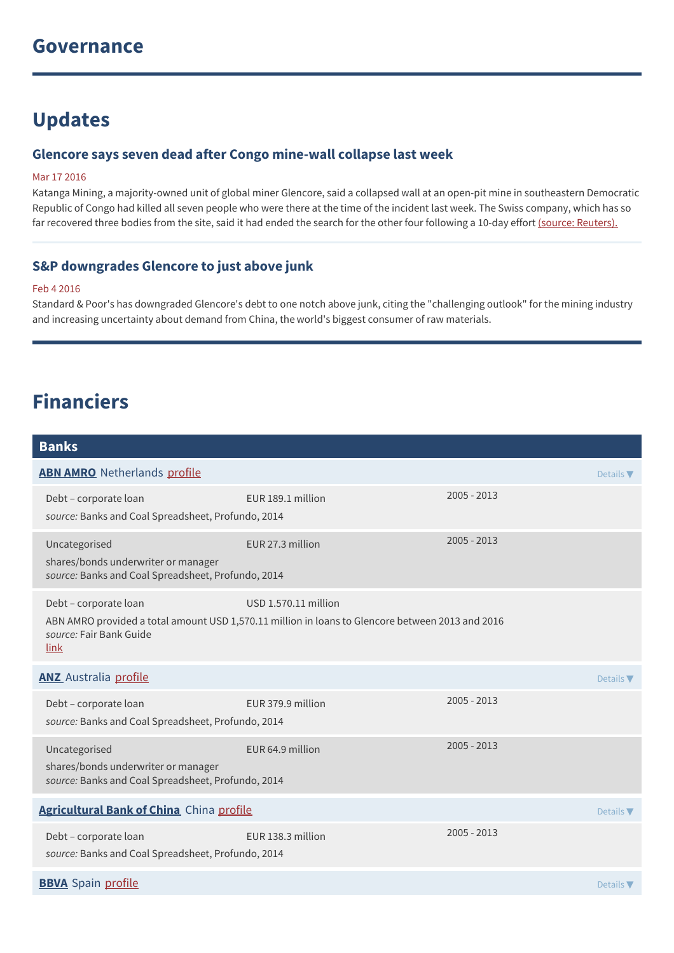## **Updates**

### **Glencore says seven dead after Congo mine-wall collapse last week**

#### Mar 17 2016

Katanga Mining, a majority-owned unit of global miner Glencore, said a collapsed wall at an open-pit mine in southeastern Democratic Republic of Congo had killed all seven people who were there at the time of the incident last week. The Swiss company, which has so far recovered three bodies from the site, said it had ended the search for the other four following a 10-day effort (source: [Reuters\).](http://www.reuters.com/article/us-katanga-mng-casualties-idUSKCN0WJ1XN)

### **S&P downgrades Glencore to just above junk**

#### Feb 4 2016

Standard & Poor's has downgraded Glencore's debt to one notch above junk, citing the "challenging outlook" for the mining industry and increasing uncertainty about demand from China, the world's biggest consumer of raw materials.

## **Financiers**

| <b>Banks</b>                                                                                               |                                                                                                                          |               |                              |
|------------------------------------------------------------------------------------------------------------|--------------------------------------------------------------------------------------------------------------------------|---------------|------------------------------|
| <b>ABN AMRO</b> Netherlands profile                                                                        |                                                                                                                          |               | Details $\nabla$             |
| Debt - corporate loan<br>source: Banks and Coal Spreadsheet, Profundo, 2014                                | EUR 189.1 million                                                                                                        | $2005 - 2013$ |                              |
| Uncategorised<br>shares/bonds underwriter or manager<br>source: Banks and Coal Spreadsheet, Profundo, 2014 | EUR 27.3 million                                                                                                         | 2005 - 2013   |                              |
| Debt - corporate loan<br>source: Fair Bank Guide<br>link                                                   | USD 1.570.11 million<br>ABN AMRO provided a total amount USD 1,570.11 million in loans to Glencore between 2013 and 2016 |               |                              |
| <b>ANZ</b> Australia profile                                                                               |                                                                                                                          |               | Details $\blacktriangledown$ |
| Debt - corporate loan<br>source: Banks and Coal Spreadsheet, Profundo, 2014                                | EUR 379.9 million                                                                                                        | $2005 - 2013$ |                              |
| Uncategorised<br>shares/bonds underwriter or manager<br>source: Banks and Coal Spreadsheet, Profundo, 2014 | EUR 64.9 million                                                                                                         | $2005 - 2013$ |                              |
| Agricultural Bank of China China profile                                                                   |                                                                                                                          |               | Details $\blacktriangledown$ |
| Debt - corporate loan<br>source: Banks and Coal Spreadsheet, Profundo, 2014                                | EUR 138.3 million                                                                                                        | 2005 - 2013   |                              |
| <b>BBVA</b> Spain profile                                                                                  |                                                                                                                          |               | Details $\nabla$             |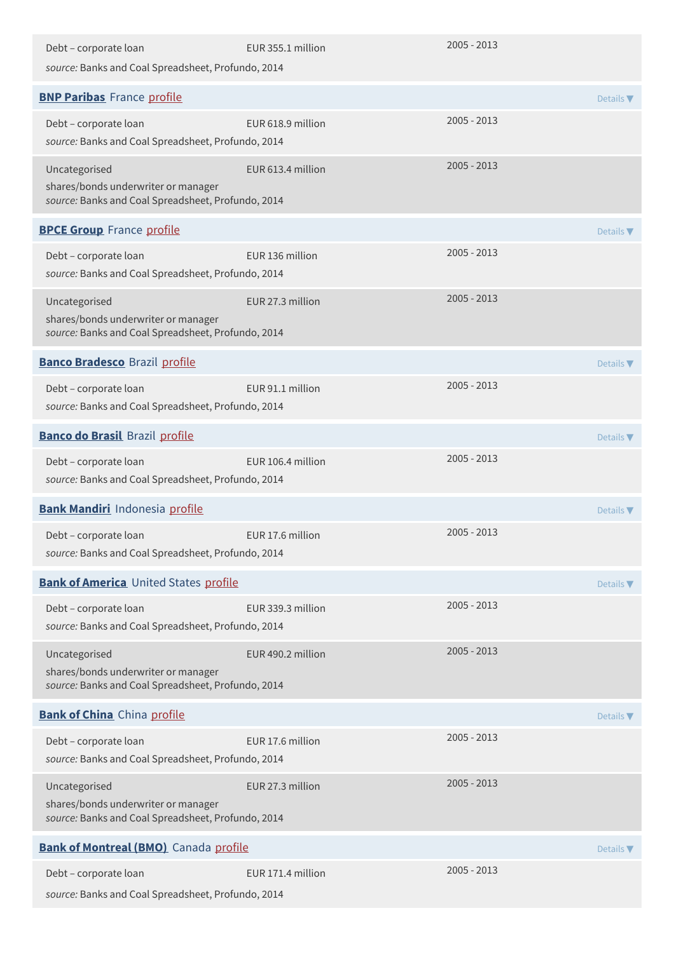| Debt - corporate loan<br>source: Banks and Coal Spreadsheet, Profundo, 2014                                | EUR 355.1 million | $2005 - 2013$ |                              |
|------------------------------------------------------------------------------------------------------------|-------------------|---------------|------------------------------|
| <b>BNP Paribas</b> France profile                                                                          |                   |               | Details $\nabla$             |
| Debt - corporate loan<br>source: Banks and Coal Spreadsheet, Profundo, 2014                                | EUR 618.9 million | $2005 - 2013$ |                              |
| Uncategorised<br>shares/bonds underwriter or manager<br>source: Banks and Coal Spreadsheet, Profundo, 2014 | EUR 613.4 million | 2005 - 2013   |                              |
| <b>BPCE Group</b> France profile                                                                           |                   |               | Details $\nabla$             |
| Debt - corporate loan<br>source: Banks and Coal Spreadsheet, Profundo, 2014                                | EUR 136 million   | 2005 - 2013   |                              |
| Uncategorised<br>shares/bonds underwriter or manager<br>source: Banks and Coal Spreadsheet, Profundo, 2014 | EUR 27.3 million  | 2005 - 2013   |                              |
| <b>Banco Bradesco</b> Brazil profile                                                                       |                   |               | Details $\blacktriangledown$ |
| Debt - corporate loan<br>source: Banks and Coal Spreadsheet, Profundo, 2014                                | EUR 91.1 million  | $2005 - 2013$ |                              |
| <b>Banco do Brasil Brazil profile</b>                                                                      |                   |               | Details $\nabla$             |
| Debt - corporate loan<br>source: Banks and Coal Spreadsheet, Profundo, 2014                                | EUR 106.4 million | 2005 - 2013   |                              |
| <b>Bank Mandiri</b> Indonesia profile                                                                      |                   |               | Details $\blacktriangledown$ |
| Debt - corporate loan<br>source: Banks and Coal Spreadsheet, Profundo, 2014                                | EUR 17.6 million  | 2005 - 2013   |                              |
| <b>Bank of America</b> United States profile                                                               |                   |               | Details $\blacktriangledown$ |
| Debt - corporate loan<br>source: Banks and Coal Spreadsheet, Profundo, 2014                                | EUR 339.3 million | 2005 - 2013   |                              |
| Uncategorised<br>shares/bonds underwriter or manager<br>source: Banks and Coal Spreadsheet, Profundo, 2014 | EUR 490.2 million | 2005 - 2013   |                              |
| <b>Bank of China</b> China profile                                                                         |                   |               | Details $\nabla$             |
| Debt - corporate loan<br>source: Banks and Coal Spreadsheet, Profundo, 2014                                | EUR 17.6 million  | 2005 - 2013   |                              |
| Uncategorised<br>shares/bonds underwriter or manager<br>source: Banks and Coal Spreadsheet, Profundo, 2014 | EUR 27.3 million  | $2005 - 2013$ |                              |
| <b>Bank of Montreal (BMO)</b> Canada profile                                                               |                   |               | Details $\blacktriangledown$ |
| Debt - corporate loan<br>source: Banks and Coal Spreadsheet, Profundo, 2014                                | EUR 171.4 million | 2005 - 2013   |                              |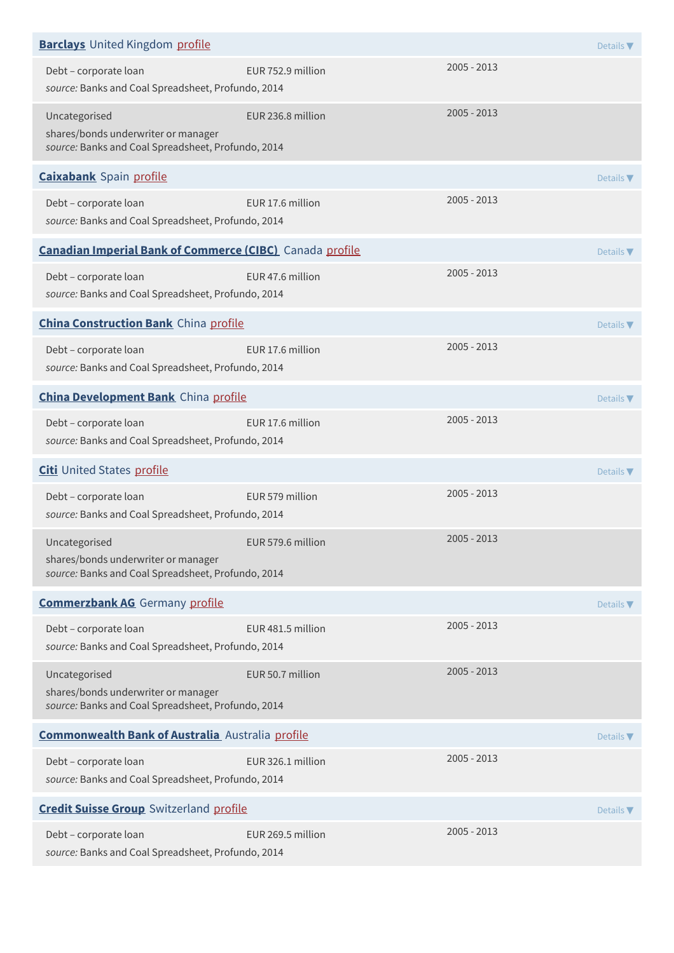| <b>Barclays</b> United Kingdom profile                                                                     |                   |               | Details $\nabla$             |
|------------------------------------------------------------------------------------------------------------|-------------------|---------------|------------------------------|
| Debt - corporate loan<br>source: Banks and Coal Spreadsheet, Profundo, 2014                                | EUR 752.9 million | $2005 - 2013$ |                              |
| Uncategorised<br>shares/bonds underwriter or manager<br>source: Banks and Coal Spreadsheet, Profundo, 2014 | EUR 236.8 million | $2005 - 2013$ |                              |
| <b>Caixabank</b> Spain profile                                                                             |                   |               | Details $\nabla$             |
| Debt - corporate loan<br>source: Banks and Coal Spreadsheet, Profundo, 2014                                | EUR 17.6 million  | $2005 - 2013$ |                              |
| <b>Canadian Imperial Bank of Commerce (CIBC)</b> Canada profile                                            |                   |               | Details $\nabla$             |
| Debt - corporate loan<br>source: Banks and Coal Spreadsheet, Profundo, 2014                                | EUR 47.6 million  | 2005 - 2013   |                              |
| <b>China Construction Bank</b> China profile                                                               |                   |               | Details $\nabla$             |
| Debt - corporate loan<br>source: Banks and Coal Spreadsheet, Profundo, 2014                                | EUR 17.6 million  | 2005 - 2013   |                              |
| <b>China Development Bank</b> China profile                                                                |                   |               | Details $\nabla$             |
| Debt - corporate loan<br>source: Banks and Coal Spreadsheet, Profundo, 2014                                | EUR 17.6 million  | 2005 - 2013   |                              |
| <b>Citi</b> United States profile                                                                          |                   |               | Details $\blacktriangledown$ |
| Debt - corporate loan<br>source: Banks and Coal Spreadsheet, Profundo, 2014                                | EUR 579 million   | $2005 - 2013$ |                              |
| Uncategorised<br>shares/bonds underwriter or manager<br>source: Banks and Coal Spreadsheet, Profundo, 2014 | EUR 579.6 million | 2005 - 2013   |                              |
| <b>Commerzbank AG</b> Germany profile                                                                      |                   |               | Details $\nabla$             |
| Debt - corporate loan<br>source: Banks and Coal Spreadsheet, Profundo, 2014                                | EUR 481.5 million | 2005 - 2013   |                              |
| Uncategorised<br>shares/bonds underwriter or manager<br>source: Banks and Coal Spreadsheet, Profundo, 2014 | EUR 50.7 million  | $2005 - 2013$ |                              |
| <b>Commonwealth Bank of Australia</b> Australia profile                                                    |                   |               | Details $\blacktriangledown$ |
| Debt - corporate loan<br>source: Banks and Coal Spreadsheet, Profundo, 2014                                | EUR 326.1 million | 2005 - 2013   |                              |
| <b>Credit Suisse Group</b> Switzerland profile                                                             |                   |               | Details $\nabla$             |
| Debt - corporate loan<br>source: Banks and Coal Spreadsheet, Profundo, 2014                                | EUR 269.5 million | 2005 - 2013   |                              |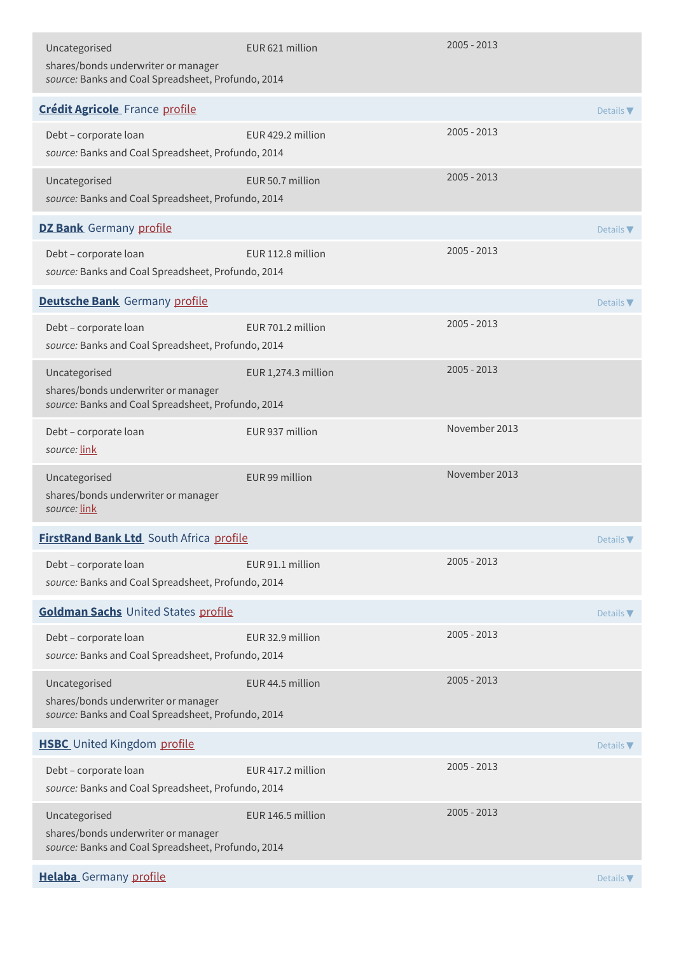| Uncategorised<br>shares/bonds underwriter or manager<br>source: Banks and Coal Spreadsheet, Profundo, 2014 | EUR 621 million     | 2005 - 2013   |                              |
|------------------------------------------------------------------------------------------------------------|---------------------|---------------|------------------------------|
| <b>Crédit Agricole</b> France profile                                                                      |                     |               | Details $\nabla$             |
| Debt - corporate loan<br>source: Banks and Coal Spreadsheet, Profundo, 2014                                | EUR 429.2 million   | $2005 - 2013$ |                              |
| Uncategorised<br>source: Banks and Coal Spreadsheet, Profundo, 2014                                        | EUR 50.7 million    | $2005 - 2013$ |                              |
| <b>DZ Bank</b> Germany profile                                                                             |                     |               | Details $\nabla$             |
| Debt - corporate loan<br>source: Banks and Coal Spreadsheet, Profundo, 2014                                | EUR 112.8 million   | $2005 - 2013$ |                              |
| <b>Deutsche Bank</b> Germany profile                                                                       |                     |               | Details $\nabla$             |
| Debt - corporate loan<br>source: Banks and Coal Spreadsheet, Profundo, 2014                                | EUR 701.2 million   | $2005 - 2013$ |                              |
| Uncategorised<br>shares/bonds underwriter or manager<br>source: Banks and Coal Spreadsheet, Profundo, 2014 | EUR 1,274.3 million | $2005 - 2013$ |                              |
| Debt - corporate loan<br>source: link                                                                      | EUR 937 million     | November 2013 |                              |
| Uncategorised<br>shares/bonds underwriter or manager<br>source: link                                       | EUR 99 million      | November 2013 |                              |
| FirstRand Bank Ltd South Africa profile                                                                    |                     |               | Details $\nabla$             |
| Debt - corporate loan<br>source: Banks and Coal Spreadsheet, Profundo, 2014                                | EUR 91.1 million    | $2005 - 2013$ |                              |
| Goldman Sachs United States profile                                                                        |                     |               | Details $\nabla$             |
| Debt - corporate loan<br>source: Banks and Coal Spreadsheet, Profundo, 2014                                | EUR 32.9 million    | $2005 - 2013$ |                              |
| Uncategorised<br>shares/bonds underwriter or manager<br>source: Banks and Coal Spreadsheet, Profundo, 2014 | EUR 44.5 million    | $2005 - 2013$ |                              |
| <b>HSBC</b> United Kingdom profile                                                                         |                     |               | Details $\nabla$             |
| Debt - corporate loan<br>source: Banks and Coal Spreadsheet, Profundo, 2014                                | EUR 417.2 million   | $2005 - 2013$ |                              |
| Uncategorised<br>shares/bonds underwriter or manager<br>source: Banks and Coal Spreadsheet, Profundo, 2014 | EUR 146.5 million   | $2005 - 2013$ |                              |
| Helaba Germany profile                                                                                     |                     |               | Details $\blacktriangledown$ |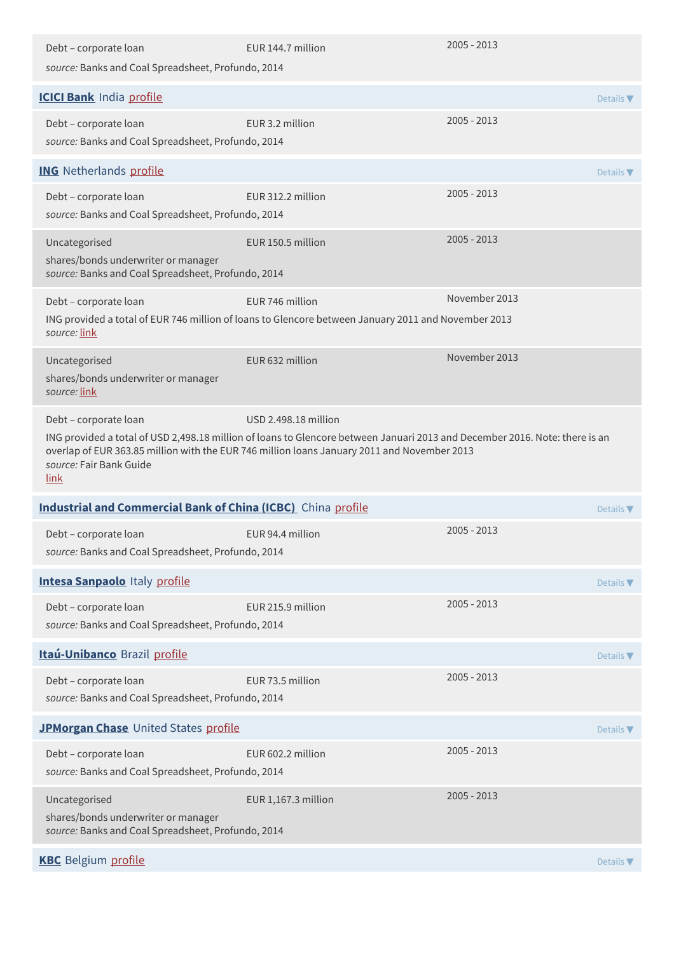| Debt - corporate loan                                                                                      | EUR 144.7 million                                                                                                                                                                                                                                  | 2005 - 2013   |                              |
|------------------------------------------------------------------------------------------------------------|----------------------------------------------------------------------------------------------------------------------------------------------------------------------------------------------------------------------------------------------------|---------------|------------------------------|
| source: Banks and Coal Spreadsheet, Profundo, 2014                                                         |                                                                                                                                                                                                                                                    |               |                              |
| <b>ICICI Bank India profile</b>                                                                            |                                                                                                                                                                                                                                                    |               | Details $\blacktriangledown$ |
| Debt - corporate loan<br>source: Banks and Coal Spreadsheet, Profundo, 2014                                | EUR 3.2 million                                                                                                                                                                                                                                    | 2005 - 2013   |                              |
| <b>ING</b> Netherlands profile                                                                             |                                                                                                                                                                                                                                                    |               | Details $\nabla$             |
| Debt - corporate loan<br>source: Banks and Coal Spreadsheet, Profundo, 2014                                | EUR 312.2 million                                                                                                                                                                                                                                  | 2005 - 2013   |                              |
| Uncategorised<br>shares/bonds underwriter or manager<br>source: Banks and Coal Spreadsheet, Profundo, 2014 | EUR 150.5 million                                                                                                                                                                                                                                  | 2005 - 2013   |                              |
| Debt - corporate loan<br>source: link                                                                      | FUR 746 million<br>ING provided a total of EUR 746 million of loans to Glencore between January 2011 and November 2013                                                                                                                             | November 2013 |                              |
| Uncategorised<br>shares/bonds underwriter or manager<br>source: link                                       | EUR 632 million                                                                                                                                                                                                                                    | November 2013 |                              |
| Debt - corporate loan<br>source: Fair Bank Guide<br>link                                                   | USD 2.498.18 million<br>ING provided a total of USD 2,498.18 million of loans to Glencore between Januari 2013 and December 2016. Note: there is an<br>overlap of EUR 363.85 million with the EUR 746 million loans January 2011 and November 2013 |               |                              |
| <b>Industrial and Commercial Bank of China (ICBC)</b> China profile                                        |                                                                                                                                                                                                                                                    |               | Details $\nabla$             |
| Debt - corporate loan<br>source: Banks and Coal Spreadsheet, Profundo, 2014                                | FUR 94.4 million                                                                                                                                                                                                                                   | 2005 - 2013   |                              |
| <b>Intesa Sanpaolo Italy profile</b>                                                                       |                                                                                                                                                                                                                                                    |               | Details $\nabla$             |
| Debt - corporate loan<br>source: Banks and Coal Spreadsheet, Profundo, 2014                                | EUR 215.9 million                                                                                                                                                                                                                                  | 2005 - 2013   |                              |
| Itaú-Unibanco Brazil profile                                                                               |                                                                                                                                                                                                                                                    |               |                              |
|                                                                                                            |                                                                                                                                                                                                                                                    |               | Details $\blacktriangledown$ |
| Debt - corporate loan<br>source: Banks and Coal Spreadsheet, Profundo, 2014                                | EUR 73.5 million                                                                                                                                                                                                                                   | 2005 - 2013   |                              |
| JPMorgan Chase United States profile                                                                       |                                                                                                                                                                                                                                                    |               | Details $\blacktriangledown$ |
| Debt - corporate loan<br>source: Banks and Coal Spreadsheet, Profundo, 2014                                | EUR 602.2 million                                                                                                                                                                                                                                  | 2005 - 2013   |                              |
| Uncategorised<br>shares/bonds underwriter or manager<br>source: Banks and Coal Spreadsheet, Profundo, 2014 | EUR 1,167.3 million                                                                                                                                                                                                                                | 2005 - 2013   |                              |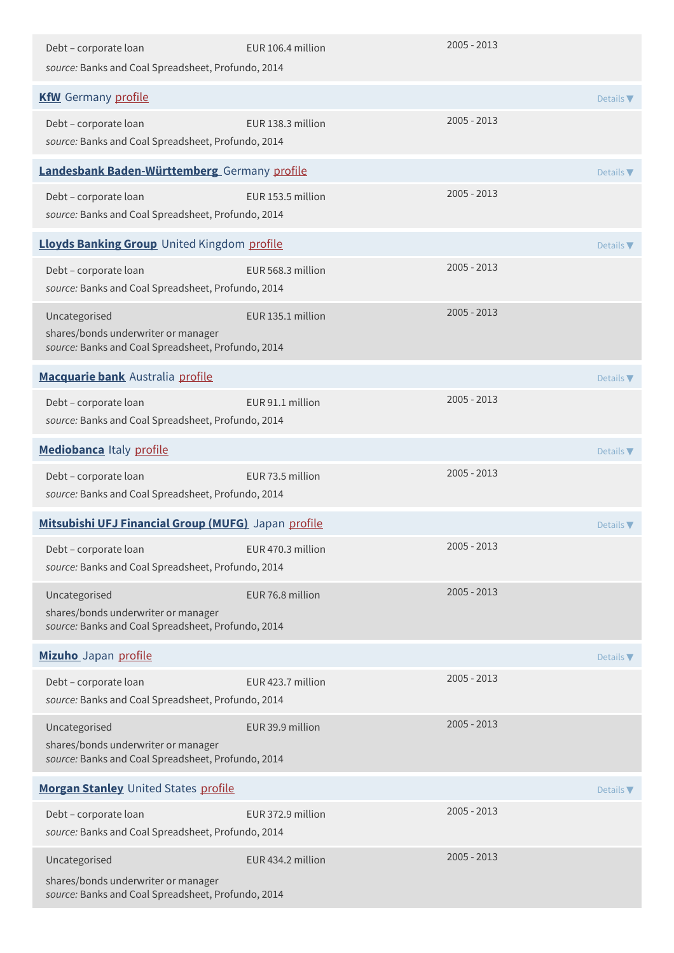| Debt - corporate loan<br>source: Banks and Coal Spreadsheet, Profundo, 2014                                | EUR 106.4 million | $2005 - 2013$ |                              |
|------------------------------------------------------------------------------------------------------------|-------------------|---------------|------------------------------|
| <b>KfW</b> Germany profile                                                                                 |                   |               | Details $\nabla$             |
| Debt - corporate loan<br>source: Banks and Coal Spreadsheet, Profundo, 2014                                | EUR 138.3 million | 2005 - 2013   |                              |
| <b>Landesbank Baden-Württemberg</b> Germany profile                                                        |                   |               | Details $\blacktriangledown$ |
| Debt - corporate loan<br>source: Banks and Coal Spreadsheet, Profundo, 2014                                | EUR 153.5 million | $2005 - 2013$ |                              |
| Lloyds Banking Group United Kingdom profile                                                                |                   |               | Details $\blacktriangledown$ |
| Debt - corporate loan<br>source: Banks and Coal Spreadsheet, Profundo, 2014                                | EUR 568.3 million | $2005 - 2013$ |                              |
| Uncategorised<br>shares/bonds underwriter or manager<br>source: Banks and Coal Spreadsheet, Profundo, 2014 | EUR 135.1 million | $2005 - 2013$ |                              |
| Macquarie bank Australia profile                                                                           |                   |               | Details $\nabla$             |
| Debt - corporate loan<br>source: Banks and Coal Spreadsheet, Profundo, 2014                                | EUR 91.1 million  | $2005 - 2013$ |                              |
| Mediobanca Italy profile                                                                                   |                   |               | Details $\blacktriangledown$ |
| Debt - corporate loan<br>source: Banks and Coal Spreadsheet, Profundo, 2014                                | EUR 73.5 million  | 2005 - 2013   |                              |
| Mitsubishi UFJ Financial Group (MUFG) Japan profile                                                        |                   |               | Details $\nabla$             |
| Debt - corporate loan<br>source: Banks and Coal Spreadsheet, Profundo, 2014                                | EUR 470.3 million | 2005 - 2013   |                              |
| Uncategorised<br>shares/bonds underwriter or manager<br>source: Banks and Coal Spreadsheet, Profundo, 2014 | EUR 76.8 million  | $2005 - 2013$ |                              |
| Mizuho Japan profile                                                                                       |                   |               | Details $\nabla$             |
| Debt - corporate loan<br>source: Banks and Coal Spreadsheet, Profundo, 2014                                | EUR 423.7 million | 2005 - 2013   |                              |
| Uncategorised<br>shares/bonds underwriter or manager<br>source: Banks and Coal Spreadsheet, Profundo, 2014 | EUR 39.9 million  | 2005 - 2013   |                              |
| Morgan Stanley United States profile                                                                       |                   |               | Details $\nabla$             |
| Debt - corporate loan<br>source: Banks and Coal Spreadsheet, Profundo, 2014                                | EUR 372.9 million | 2005 - 2013   |                              |
| Uncategorised<br>shares/bonds underwriter or manager<br>source: Banks and Coal Spreadsheet, Profundo, 2014 | EUR 434.2 million | 2005 - 2013   |                              |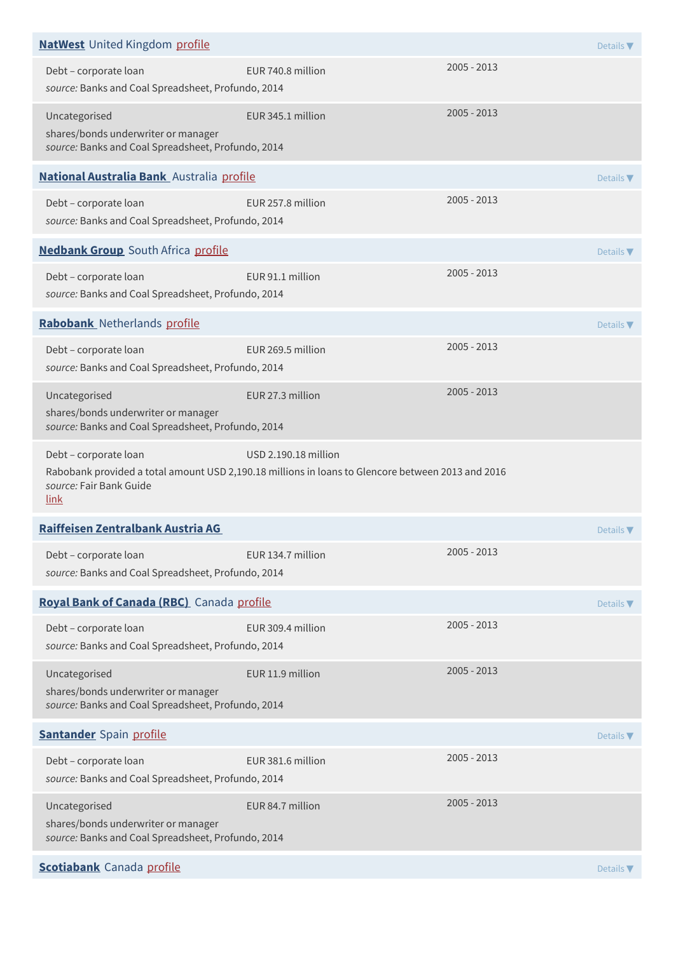| <b>NatWest</b> United Kingdom profile                                                                      |                                                                                                                           |             | Details V                    |
|------------------------------------------------------------------------------------------------------------|---------------------------------------------------------------------------------------------------------------------------|-------------|------------------------------|
| Debt - corporate loan<br>source: Banks and Coal Spreadsheet, Profundo, 2014                                | EUR 740.8 million                                                                                                         | 2005 - 2013 |                              |
| Uncategorised<br>shares/bonds underwriter or manager<br>source: Banks and Coal Spreadsheet, Profundo, 2014 | EUR 345.1 million                                                                                                         | 2005 - 2013 |                              |
| National Australia Bank Australia profile                                                                  |                                                                                                                           |             | Details $\nabla$             |
| Debt - corporate loan<br>source: Banks and Coal Spreadsheet, Profundo, 2014                                | EUR 257.8 million                                                                                                         | 2005 - 2013 |                              |
| <b>Nedbank Group</b> South Africa profile                                                                  |                                                                                                                           |             | Details $\nabla$             |
| Debt - corporate loan<br>source: Banks and Coal Spreadsheet, Profundo, 2014                                | EUR 91.1 million                                                                                                          | 2005 - 2013 |                              |
| Rabobank Netherlands profile                                                                               |                                                                                                                           |             | Details $\blacktriangledown$ |
| Debt - corporate loan<br>source: Banks and Coal Spreadsheet, Profundo, 2014                                | EUR 269.5 million                                                                                                         | 2005 - 2013 |                              |
| Uncategorised<br>shares/bonds underwriter or manager<br>source: Banks and Coal Spreadsheet, Profundo, 2014 | EUR 27.3 million                                                                                                          | 2005 - 2013 |                              |
|                                                                                                            |                                                                                                                           |             |                              |
| Debt - corporate loan<br>source: Fair Bank Guide<br><u>link</u>                                            | USD 2.190.18 million<br>Rabobank provided a total amount USD 2,190.18 millions in loans to Glencore between 2013 and 2016 |             |                              |
| Raiffeisen Zentralbank Austria AG                                                                          |                                                                                                                           |             | Details $\nabla$             |
| Debt - corporate loan<br>source: Banks and Coal Spreadsheet, Profundo, 2014                                | EUR 134.7 million                                                                                                         | 2005 - 2013 |                              |
| Royal Bank of Canada (RBC) Canada profile                                                                  |                                                                                                                           |             | Details $\nabla$             |
| Debt - corporate loan<br>source: Banks and Coal Spreadsheet, Profundo, 2014                                | EUR 309.4 million                                                                                                         | 2005 - 2013 |                              |
| Uncategorised<br>shares/bonds underwriter or manager<br>source: Banks and Coal Spreadsheet, Profundo, 2014 | EUR 11.9 million                                                                                                          | 2005 - 2013 |                              |
| <b>Santander</b> Spain profile                                                                             |                                                                                                                           |             | Details $\nabla$             |
| Debt - corporate loan<br>source: Banks and Coal Spreadsheet, Profundo, 2014                                | EUR 381.6 million                                                                                                         | 2005 - 2013 |                              |
| Uncategorised<br>shares/bonds underwriter or manager<br>source: Banks and Coal Spreadsheet, Profundo, 2014 | EUR 84.7 million                                                                                                          | 2005 - 2013 |                              |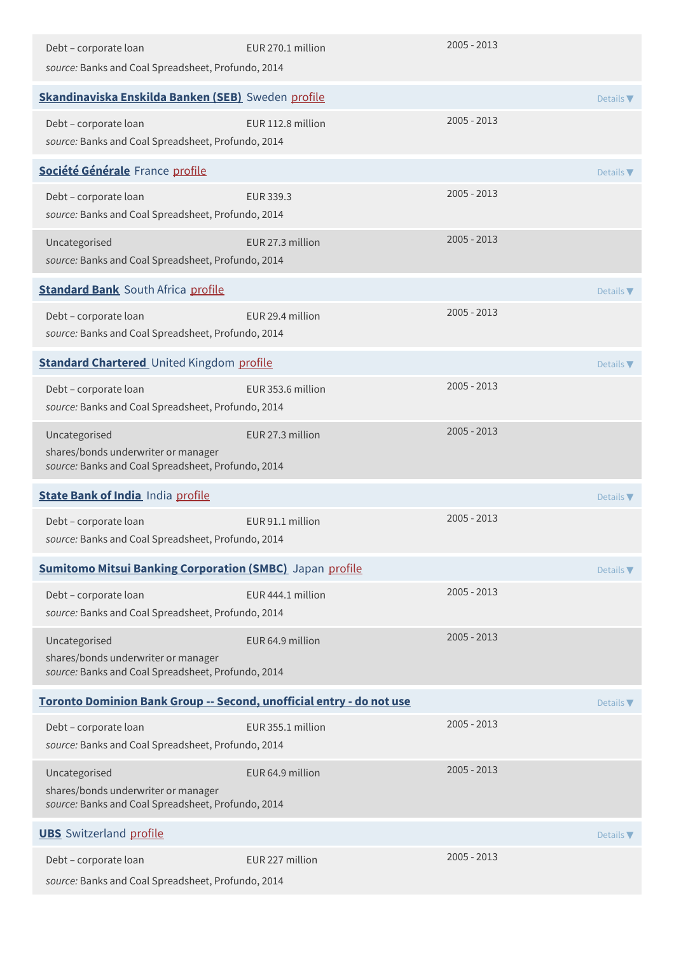| Debt - corporate loan<br>source: Banks and Coal Spreadsheet, Profundo, 2014                                | EUR 270.1 million | $2005 - 2013$ |                              |
|------------------------------------------------------------------------------------------------------------|-------------------|---------------|------------------------------|
| Skandinaviska Enskilda Banken (SEB) Sweden profile                                                         |                   |               | Details $\blacktriangledown$ |
| Debt - corporate loan<br>source: Banks and Coal Spreadsheet, Profundo, 2014                                | EUR 112.8 million | $2005 - 2013$ |                              |
| Société Générale France profile                                                                            |                   |               | Details $\nabla$             |
| Debt - corporate loan<br>source: Banks and Coal Spreadsheet, Profundo, 2014                                | EUR 339.3         | $2005 - 2013$ |                              |
| Uncategorised<br>source: Banks and Coal Spreadsheet, Profundo, 2014                                        | EUR 27.3 million  | 2005 - 2013   |                              |
| <b>Standard Bank</b> South Africa profile                                                                  |                   |               | Details $\nabla$             |
| Debt - corporate loan<br>source: Banks and Coal Spreadsheet, Profundo, 2014                                | EUR 29.4 million  | 2005 - 2013   |                              |
| <b>Standard Chartered</b> United Kingdom profile                                                           |                   |               | Details $\nabla$             |
| Debt - corporate loan<br>source: Banks and Coal Spreadsheet, Profundo, 2014                                | EUR 353.6 million | 2005 - 2013   |                              |
| Uncategorised<br>shares/bonds underwriter or manager<br>source: Banks and Coal Spreadsheet, Profundo, 2014 | EUR 27.3 million  | $2005 - 2013$ |                              |
| <b>State Bank of India India profile</b>                                                                   |                   |               | Details $\nabla$             |
| Debt - corporate loan<br>source: Banks and Coal Spreadsheet, Profundo, 2014                                | EUR 91.1 million  | 2005 - 2013   |                              |
| <b>Sumitomo Mitsui Banking Corporation (SMBC)</b> Japan profile                                            |                   |               | Details $\blacktriangledown$ |
| Debt - corporate loan<br>source: Banks and Coal Spreadsheet, Profundo, 2014                                | EUR 444.1 million | $2005 - 2013$ |                              |
| Uncategorised<br>shares/bonds underwriter or manager<br>source: Banks and Coal Spreadsheet, Profundo, 2014 | EUR 64.9 million  | $2005 - 2013$ |                              |
| Toronto Dominion Bank Group -- Second, unofficial entry - do not use                                       |                   |               | Details $\blacktriangledown$ |
| Debt - corporate loan<br>source: Banks and Coal Spreadsheet, Profundo, 2014                                | EUR 355.1 million | $2005 - 2013$ |                              |
| Uncategorised<br>shares/bonds underwriter or manager<br>source: Banks and Coal Spreadsheet, Profundo, 2014 | EUR 64.9 million  | $2005 - 2013$ |                              |
| <b>UBS</b> Switzerland profile                                                                             |                   |               | Details $\nabla$             |
| Debt - corporate loan<br>source: Banks and Coal Spreadsheet, Profundo, 2014                                | EUR 227 million   | $2005 - 2013$ |                              |